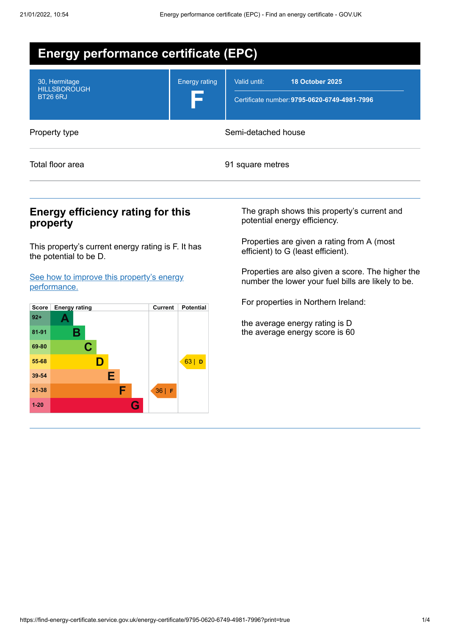| <b>Energy performance certificate (EPC)</b>             |                      |                                                                                        |  |  |
|---------------------------------------------------------|----------------------|----------------------------------------------------------------------------------------|--|--|
| 30, Hermitage<br><b>HILLSBOROUGH</b><br><b>BT26 6RJ</b> | <b>Energy rating</b> | Valid until:<br><b>18 October 2025</b><br>Certificate number: 9795-0620-6749-4981-7996 |  |  |
| Property type                                           | Semi-detached house  |                                                                                        |  |  |
| Total floor area                                        | 91 square metres     |                                                                                        |  |  |

### **Energy efficiency rating for this property**

This property's current energy rating is F. It has the potential to be D.

See how to improve this property's energy [performance.](#page-2-0)



The graph shows this property's current and potential energy efficiency.

Properties are given a rating from A (most efficient) to G (least efficient).

Properties are also given a score. The higher the number the lower your fuel bills are likely to be.

For properties in Northern Ireland:

the average energy rating is D the average energy score is 60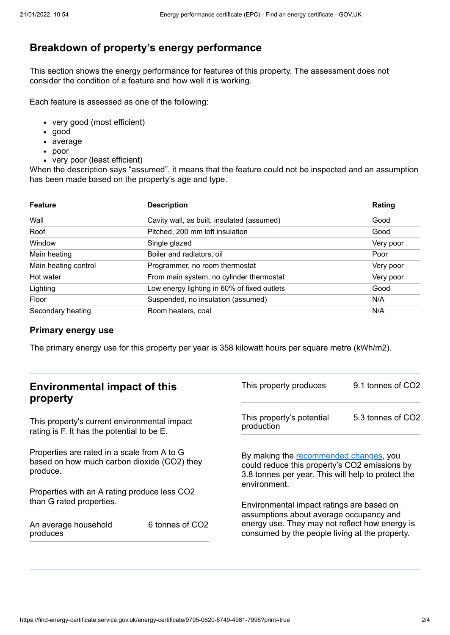# **Breakdown of property's energy performance**

This section shows the energy performance for features of this property. The assessment does not consider the condition of a feature and how well it is working.

Each feature is assessed as one of the following:

- very good (most efficient)
- good
- average
- poor
- very poor (least efficient)

When the description says "assumed", it means that the feature could not be inspected and an assumption has been made based on the property's age and type.

| <b>Feature</b>       | <b>Description</b>                          | Rating    |
|----------------------|---------------------------------------------|-----------|
| Wall                 | Cavity wall, as built, insulated (assumed)  | Good      |
| Roof                 | Pitched, 200 mm loft insulation             | Good      |
| Window               | Single glazed                               | Very poor |
| Main heating         | Boiler and radiators, oil                   | Poor      |
| Main heating control | Programmer, no room thermostat              | Very poor |
| Hot water            | From main system, no cylinder thermostat    | Very poor |
| Lighting             | Low energy lighting in 60% of fixed outlets | Good      |
| Floor                | Suspended, no insulation (assumed)          | N/A       |
| Secondary heating    | Room heaters, coal                          | N/A       |

#### **Primary energy use**

The primary energy use for this property per year is 358 kilowatt hours per square metre (kWh/m2).

| <b>Environmental impact of this</b><br>property                                                        |                             | This property produces                                                                                                                                                                   | 9.1 tonnes of CO2 |
|--------------------------------------------------------------------------------------------------------|-----------------------------|------------------------------------------------------------------------------------------------------------------------------------------------------------------------------------------|-------------------|
| This property's current environmental impact<br>rating is F. It has the potential to be E.             |                             | This property's potential<br>production                                                                                                                                                  | 5.3 tonnes of CO2 |
| Properties are rated in a scale from A to G<br>based on how much carbon dioxide (CO2) they<br>produce. |                             | By making the recommended changes, you<br>could reduce this property's CO2 emissions by<br>3.8 tonnes per year. This will help to protect the<br>environment.                            |                   |
| Properties with an A rating produce less CO2                                                           |                             |                                                                                                                                                                                          |                   |
| than G rated properties.<br>An average household<br>produces                                           | 6 tonnes of CO <sub>2</sub> | Environmental impact ratings are based on<br>assumptions about average occupancy and<br>energy use. They may not reflect how energy is<br>consumed by the people living at the property. |                   |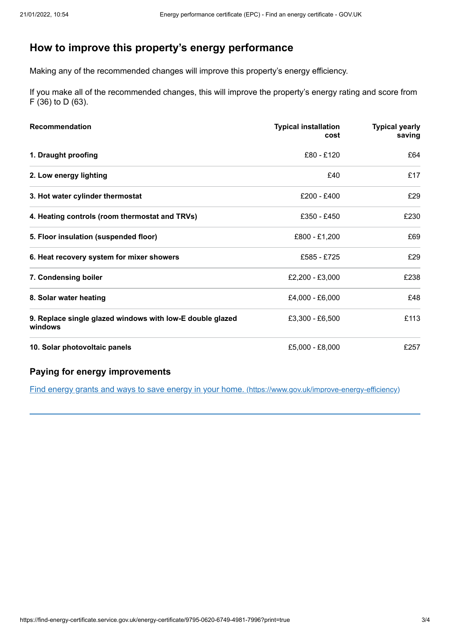# <span id="page-2-0"></span>**How to improve this property's energy performance**

Making any of the recommended changes will improve this property's energy efficiency.

If you make all of the recommended changes, this will improve the property's energy rating and score from F (36) to D (63).

| <b>Recommendation</b>                                                | <b>Typical installation</b><br>cost | <b>Typical yearly</b><br>saving |
|----------------------------------------------------------------------|-------------------------------------|---------------------------------|
| 1. Draught proofing                                                  | £80 - £120                          | £64                             |
| 2. Low energy lighting                                               | £40                                 | £17                             |
| 3. Hot water cylinder thermostat                                     | £200 - £400                         | £29                             |
| 4. Heating controls (room thermostat and TRVs)                       | £350 - £450                         | £230                            |
| 5. Floor insulation (suspended floor)                                | £800 - £1,200                       | £69                             |
| 6. Heat recovery system for mixer showers                            | £585 - £725                         | £29                             |
| 7. Condensing boiler                                                 | £2,200 - £3,000                     | £238                            |
| 8. Solar water heating                                               | £4,000 - £6,000                     | £48                             |
| 9. Replace single glazed windows with low-E double glazed<br>windows | £3,300 - £6,500                     | £113                            |
| 10. Solar photovoltaic panels                                        | £5,000 - £8,000                     | £257                            |

### **Paying for energy improvements**

Find energy grants and ways to save energy in your home. [\(https://www.gov.uk/improve-energy-efficiency\)](https://www.gov.uk/improve-energy-efficiency)